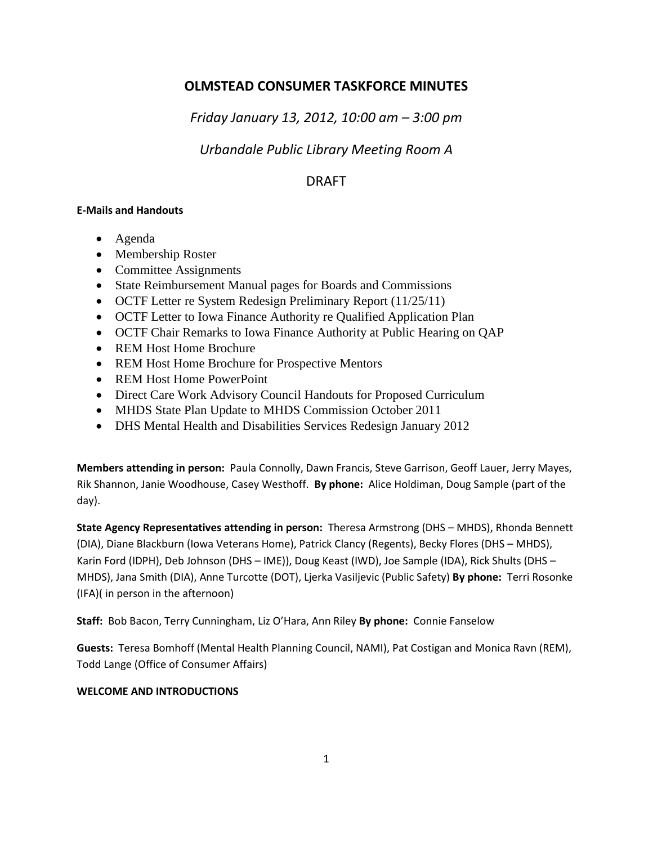# **OLMSTEAD CONSUMER TASKFORCE MINUTES**

*Friday January 13, 2012, 10:00 am – 3:00 pm*

# *Urbandale Public Library Meeting Room A*

# DRAFT

### **E-Mails and Handouts**

- Agenda
- Membership Roster
- Committee Assignments
- State Reimbursement Manual pages for Boards and Commissions
- OCTF Letter re System Redesign Preliminary Report (11/25/11)
- OCTF Letter to Iowa Finance Authority re Qualified Application Plan
- OCTF Chair Remarks to Iowa Finance Authority at Public Hearing on QAP
- REM Host Home Brochure
- REM Host Home Brochure for Prospective Mentors
- REM Host Home PowerPoint
- Direct Care Work Advisory Council Handouts for Proposed Curriculum
- MHDS State Plan Update to MHDS Commission October 2011
- DHS Mental Health and Disabilities Services Redesign January 2012

**Members attending in person:** Paula Connolly, Dawn Francis, Steve Garrison, Geoff Lauer, Jerry Mayes, Rik Shannon, Janie Woodhouse, Casey Westhoff. **By phone:** Alice Holdiman, Doug Sample (part of the day).

**State Agency Representatives attending in person:** Theresa Armstrong (DHS – MHDS), Rhonda Bennett (DIA), Diane Blackburn (Iowa Veterans Home), Patrick Clancy (Regents), Becky Flores (DHS – MHDS), Karin Ford (IDPH), Deb Johnson (DHS – IME)), Doug Keast (IWD), Joe Sample (IDA), Rick Shults (DHS – MHDS), Jana Smith (DIA), Anne Turcotte (DOT), Ljerka Vasiljevic (Public Safety) **By phone:** Terri Rosonke (IFA)( in person in the afternoon)

**Staff:** Bob Bacon, Terry Cunningham, Liz O'Hara, Ann Riley **By phone:** Connie Fanselow

**Guests:** Teresa Bomhoff (Mental Health Planning Council, NAMI), Pat Costigan and Monica Ravn (REM), Todd Lange (Office of Consumer Affairs)

## **WELCOME AND INTRODUCTIONS**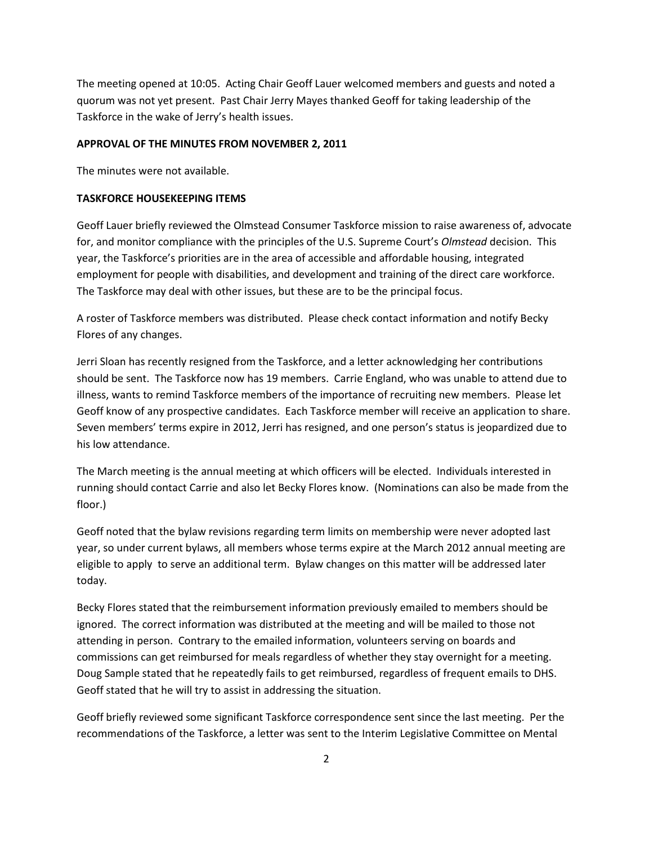The meeting opened at 10:05. Acting Chair Geoff Lauer welcomed members and guests and noted a quorum was not yet present. Past Chair Jerry Mayes thanked Geoff for taking leadership of the Taskforce in the wake of Jerry's health issues.

#### **APPROVAL OF THE MINUTES FROM NOVEMBER 2, 2011**

The minutes were not available.

#### **TASKFORCE HOUSEKEEPING ITEMS**

Geoff Lauer briefly reviewed the Olmstead Consumer Taskforce mission to raise awareness of, advocate for, and monitor compliance with the principles of the U.S. Supreme Court's *Olmstead* decision. This year, the Taskforce's priorities are in the area of accessible and affordable housing, integrated employment for people with disabilities, and development and training of the direct care workforce. The Taskforce may deal with other issues, but these are to be the principal focus.

A roster of Taskforce members was distributed. Please check contact information and notify Becky Flores of any changes.

Jerri Sloan has recently resigned from the Taskforce, and a letter acknowledging her contributions should be sent. The Taskforce now has 19 members. Carrie England, who was unable to attend due to illness, wants to remind Taskforce members of the importance of recruiting new members. Please let Geoff know of any prospective candidates. Each Taskforce member will receive an application to share. Seven members' terms expire in 2012, Jerri has resigned, and one person's status is jeopardized due to his low attendance.

The March meeting is the annual meeting at which officers will be elected. Individuals interested in running should contact Carrie and also let Becky Flores know. (Nominations can also be made from the floor.)

Geoff noted that the bylaw revisions regarding term limits on membership were never adopted last year, so under current bylaws, all members whose terms expire at the March 2012 annual meeting are eligible to apply to serve an additional term. Bylaw changes on this matter will be addressed later today.

Becky Flores stated that the reimbursement information previously emailed to members should be ignored. The correct information was distributed at the meeting and will be mailed to those not attending in person. Contrary to the emailed information, volunteers serving on boards and commissions can get reimbursed for meals regardless of whether they stay overnight for a meeting. Doug Sample stated that he repeatedly fails to get reimbursed, regardless of frequent emails to DHS. Geoff stated that he will try to assist in addressing the situation.

Geoff briefly reviewed some significant Taskforce correspondence sent since the last meeting. Per the recommendations of the Taskforce, a letter was sent to the Interim Legislative Committee on Mental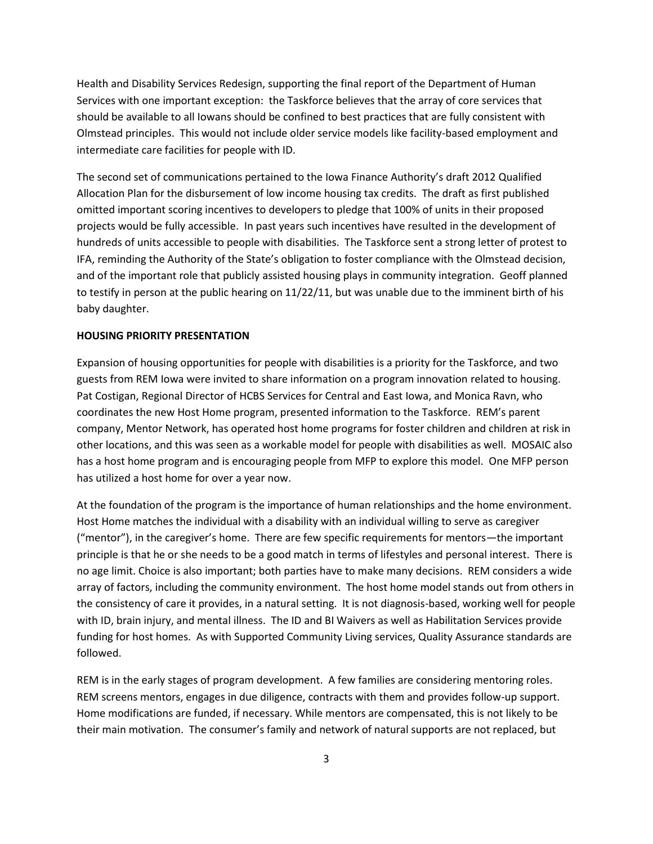Health and Disability Services Redesign, supporting the final report of the Department of Human Services with one important exception: the Taskforce believes that the array of core services that should be available to all Iowans should be confined to best practices that are fully consistent with Olmstead principles. This would not include older service models like facility-based employment and intermediate care facilities for people with ID.

The second set of communications pertained to the Iowa Finance Authority's draft 2012 Qualified Allocation Plan for the disbursement of low income housing tax credits. The draft as first published omitted important scoring incentives to developers to pledge that 100% of units in their proposed projects would be fully accessible. In past years such incentives have resulted in the development of hundreds of units accessible to people with disabilities. The Taskforce sent a strong letter of protest to IFA, reminding the Authority of the State's obligation to foster compliance with the Olmstead decision, and of the important role that publicly assisted housing plays in community integration. Geoff planned to testify in person at the public hearing on 11/22/11, but was unable due to the imminent birth of his baby daughter.

#### **HOUSING PRIORITY PRESENTATION**

Expansion of housing opportunities for people with disabilities is a priority for the Taskforce, and two guests from REM Iowa were invited to share information on a program innovation related to housing. Pat Costigan, Regional Director of HCBS Services for Central and East Iowa, and Monica Ravn, who coordinates the new Host Home program, presented information to the Taskforce. REM's parent company, Mentor Network, has operated host home programs for foster children and children at risk in other locations, and this was seen as a workable model for people with disabilities as well. MOSAIC also has a host home program and is encouraging people from MFP to explore this model. One MFP person has utilized a host home for over a year now.

At the foundation of the program is the importance of human relationships and the home environment. Host Home matches the individual with a disability with an individual willing to serve as caregiver ("mentor"), in the caregiver's home. There are few specific requirements for mentors—the important principle is that he or she needs to be a good match in terms of lifestyles and personal interest. There is no age limit. Choice is also important; both parties have to make many decisions. REM considers a wide array of factors, including the community environment. The host home model stands out from others in the consistency of care it provides, in a natural setting. It is not diagnosis-based, working well for people with ID, brain injury, and mental illness. The ID and BI Waivers as well as Habilitation Services provide funding for host homes. As with Supported Community Living services, Quality Assurance standards are followed.

REM is in the early stages of program development. A few families are considering mentoring roles. REM screens mentors, engages in due diligence, contracts with them and provides follow-up support. Home modifications are funded, if necessary. While mentors are compensated, this is not likely to be their main motivation. The consumer's family and network of natural supports are not replaced, but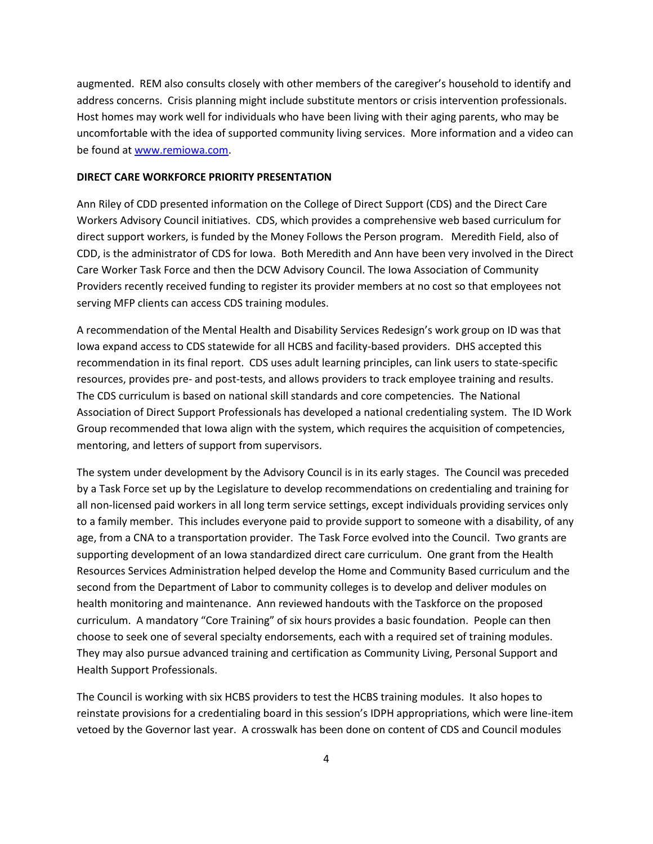augmented. REM also consults closely with other members of the caregiver's household to identify and address concerns. Crisis planning might include substitute mentors or crisis intervention professionals. Host homes may work well for individuals who have been living with their aging parents, who may be uncomfortable with the idea of supported community living services. More information and a video can be found at [www.remiowa.com.](http://www.remiowa.com/)

#### **DIRECT CARE WORKFORCE PRIORITY PRESENTATION**

Ann Riley of CDD presented information on the College of Direct Support (CDS) and the Direct Care Workers Advisory Council initiatives. CDS, which provides a comprehensive web based curriculum for direct support workers, is funded by the Money Follows the Person program. Meredith Field, also of CDD, is the administrator of CDS for Iowa. Both Meredith and Ann have been very involved in the Direct Care Worker Task Force and then the DCW Advisory Council. The Iowa Association of Community Providers recently received funding to register its provider members at no cost so that employees not serving MFP clients can access CDS training modules.

A recommendation of the Mental Health and Disability Services Redesign's work group on ID was that Iowa expand access to CDS statewide for all HCBS and facility-based providers. DHS accepted this recommendation in its final report. CDS uses adult learning principles, can link users to state-specific resources, provides pre- and post-tests, and allows providers to track employee training and results. The CDS curriculum is based on national skill standards and core competencies. The National Association of Direct Support Professionals has developed a national credentialing system. The ID Work Group recommended that Iowa align with the system, which requires the acquisition of competencies, mentoring, and letters of support from supervisors.

The system under development by the Advisory Council is in its early stages. The Council was preceded by a Task Force set up by the Legislature to develop recommendations on credentialing and training for all non-licensed paid workers in all long term service settings, except individuals providing services only to a family member. This includes everyone paid to provide support to someone with a disability, of any age, from a CNA to a transportation provider. The Task Force evolved into the Council. Two grants are supporting development of an Iowa standardized direct care curriculum. One grant from the Health Resources Services Administration helped develop the Home and Community Based curriculum and the second from the Department of Labor to community colleges is to develop and deliver modules on health monitoring and maintenance. Ann reviewed handouts with the Taskforce on the proposed curriculum. A mandatory "Core Training" of six hours provides a basic foundation. People can then choose to seek one of several specialty endorsements, each with a required set of training modules. They may also pursue advanced training and certification as Community Living, Personal Support and Health Support Professionals.

The Council is working with six HCBS providers to test the HCBS training modules. It also hopes to reinstate provisions for a credentialing board in this session's IDPH appropriations, which were line-item vetoed by the Governor last year. A crosswalk has been done on content of CDS and Council modules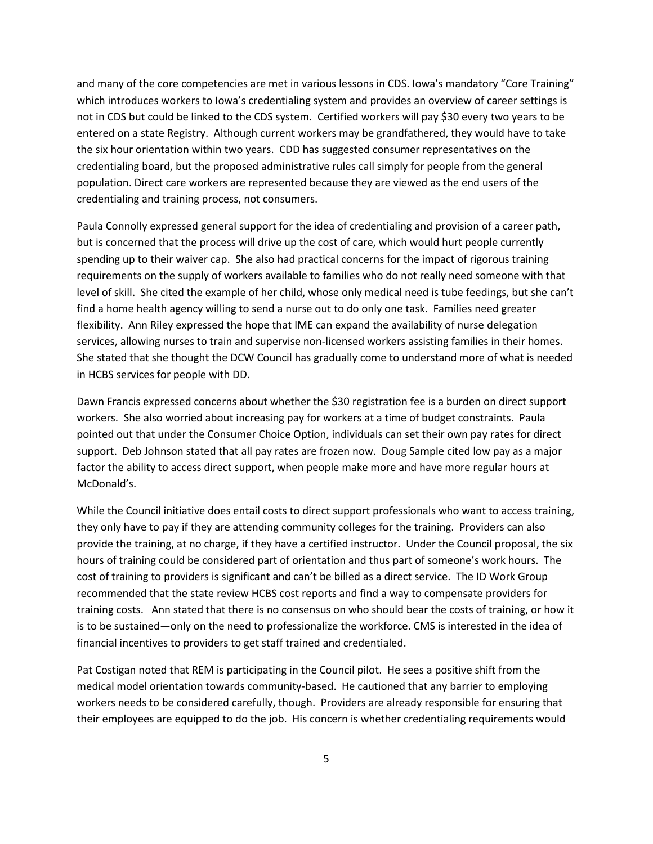and many of the core competencies are met in various lessons in CDS. Iowa's mandatory "Core Training" which introduces workers to Iowa's credentialing system and provides an overview of career settings is not in CDS but could be linked to the CDS system. Certified workers will pay \$30 every two years to be entered on a state Registry. Although current workers may be grandfathered, they would have to take the six hour orientation within two years. CDD has suggested consumer representatives on the credentialing board, but the proposed administrative rules call simply for people from the general population. Direct care workers are represented because they are viewed as the end users of the credentialing and training process, not consumers.

Paula Connolly expressed general support for the idea of credentialing and provision of a career path, but is concerned that the process will drive up the cost of care, which would hurt people currently spending up to their waiver cap. She also had practical concerns for the impact of rigorous training requirements on the supply of workers available to families who do not really need someone with that level of skill. She cited the example of her child, whose only medical need is tube feedings, but she can't find a home health agency willing to send a nurse out to do only one task. Families need greater flexibility. Ann Riley expressed the hope that IME can expand the availability of nurse delegation services, allowing nurses to train and supervise non-licensed workers assisting families in their homes. She stated that she thought the DCW Council has gradually come to understand more of what is needed in HCBS services for people with DD.

Dawn Francis expressed concerns about whether the \$30 registration fee is a burden on direct support workers. She also worried about increasing pay for workers at a time of budget constraints. Paula pointed out that under the Consumer Choice Option, individuals can set their own pay rates for direct support. Deb Johnson stated that all pay rates are frozen now. Doug Sample cited low pay as a major factor the ability to access direct support, when people make more and have more regular hours at McDonald's.

While the Council initiative does entail costs to direct support professionals who want to access training, they only have to pay if they are attending community colleges for the training. Providers can also provide the training, at no charge, if they have a certified instructor. Under the Council proposal, the six hours of training could be considered part of orientation and thus part of someone's work hours. The cost of training to providers is significant and can't be billed as a direct service. The ID Work Group recommended that the state review HCBS cost reports and find a way to compensate providers for training costs. Ann stated that there is no consensus on who should bear the costs of training, or how it is to be sustained—only on the need to professionalize the workforce. CMS is interested in the idea of financial incentives to providers to get staff trained and credentialed.

Pat Costigan noted that REM is participating in the Council pilot. He sees a positive shift from the medical model orientation towards community-based. He cautioned that any barrier to employing workers needs to be considered carefully, though. Providers are already responsible for ensuring that their employees are equipped to do the job. His concern is whether credentialing requirements would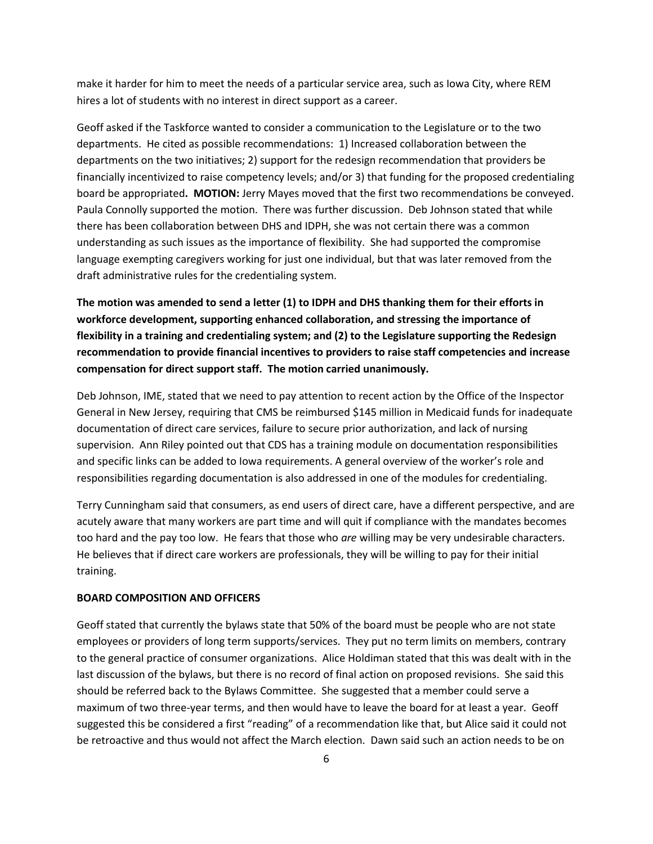make it harder for him to meet the needs of a particular service area, such as Iowa City, where REM hires a lot of students with no interest in direct support as a career.

Geoff asked if the Taskforce wanted to consider a communication to the Legislature or to the two departments. He cited as possible recommendations: 1) Increased collaboration between the departments on the two initiatives; 2) support for the redesign recommendation that providers be financially incentivized to raise competency levels; and/or 3) that funding for the proposed credentialing board be appropriated**. MOTION:** Jerry Mayes moved that the first two recommendations be conveyed. Paula Connolly supported the motion. There was further discussion. Deb Johnson stated that while there has been collaboration between DHS and IDPH, she was not certain there was a common understanding as such issues as the importance of flexibility. She had supported the compromise language exempting caregivers working for just one individual, but that was later removed from the draft administrative rules for the credentialing system.

**The motion was amended to send a letter (1) to IDPH and DHS thanking them for their efforts in workforce development, supporting enhanced collaboration, and stressing the importance of flexibility in a training and credentialing system; and (2) to the Legislature supporting the Redesign recommendation to provide financial incentives to providers to raise staff competencies and increase compensation for direct support staff. The motion carried unanimously.**

Deb Johnson, IME, stated that we need to pay attention to recent action by the Office of the Inspector General in New Jersey, requiring that CMS be reimbursed \$145 million in Medicaid funds for inadequate documentation of direct care services, failure to secure prior authorization, and lack of nursing supervision. Ann Riley pointed out that CDS has a training module on documentation responsibilities and specific links can be added to Iowa requirements. A general overview of the worker's role and responsibilities regarding documentation is also addressed in one of the modules for credentialing.

Terry Cunningham said that consumers, as end users of direct care, have a different perspective, and are acutely aware that many workers are part time and will quit if compliance with the mandates becomes too hard and the pay too low. He fears that those who *are* willing may be very undesirable characters. He believes that if direct care workers are professionals, they will be willing to pay for their initial training.

### **BOARD COMPOSITION AND OFFICERS**

Geoff stated that currently the bylaws state that 50% of the board must be people who are not state employees or providers of long term supports/services. They put no term limits on members, contrary to the general practice of consumer organizations. Alice Holdiman stated that this was dealt with in the last discussion of the bylaws, but there is no record of final action on proposed revisions. She said this should be referred back to the Bylaws Committee. She suggested that a member could serve a maximum of two three-year terms, and then would have to leave the board for at least a year. Geoff suggested this be considered a first "reading" of a recommendation like that, but Alice said it could not be retroactive and thus would not affect the March election. Dawn said such an action needs to be on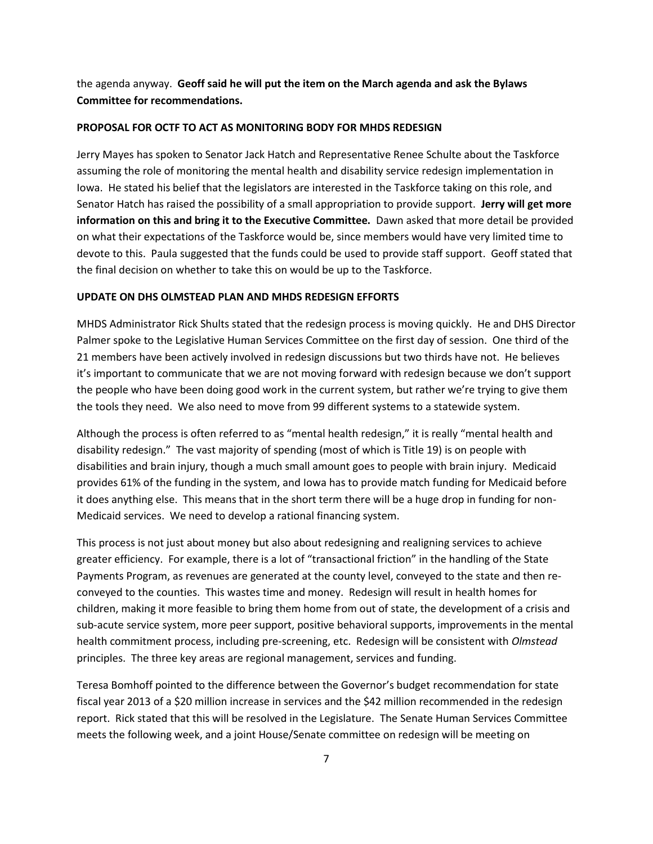the agenda anyway. **Geoff said he will put the item on the March agenda and ask the Bylaws Committee for recommendations.**

#### **PROPOSAL FOR OCTF TO ACT AS MONITORING BODY FOR MHDS REDESIGN**

Jerry Mayes has spoken to Senator Jack Hatch and Representative Renee Schulte about the Taskforce assuming the role of monitoring the mental health and disability service redesign implementation in Iowa. He stated his belief that the legislators are interested in the Taskforce taking on this role, and Senator Hatch has raised the possibility of a small appropriation to provide support. **Jerry will get more information on this and bring it to the Executive Committee.** Dawn asked that more detail be provided on what their expectations of the Taskforce would be, since members would have very limited time to devote to this. Paula suggested that the funds could be used to provide staff support. Geoff stated that the final decision on whether to take this on would be up to the Taskforce.

#### **UPDATE ON DHS OLMSTEAD PLAN AND MHDS REDESIGN EFFORTS**

MHDS Administrator Rick Shults stated that the redesign process is moving quickly. He and DHS Director Palmer spoke to the Legislative Human Services Committee on the first day of session. One third of the 21 members have been actively involved in redesign discussions but two thirds have not. He believes it's important to communicate that we are not moving forward with redesign because we don't support the people who have been doing good work in the current system, but rather we're trying to give them the tools they need. We also need to move from 99 different systems to a statewide system.

Although the process is often referred to as "mental health redesign," it is really "mental health and disability redesign." The vast majority of spending (most of which is Title 19) is on people with disabilities and brain injury, though a much small amount goes to people with brain injury. Medicaid provides 61% of the funding in the system, and Iowa has to provide match funding for Medicaid before it does anything else. This means that in the short term there will be a huge drop in funding for non-Medicaid services. We need to develop a rational financing system.

This process is not just about money but also about redesigning and realigning services to achieve greater efficiency. For example, there is a lot of "transactional friction" in the handling of the State Payments Program, as revenues are generated at the county level, conveyed to the state and then reconveyed to the counties. This wastes time and money. Redesign will result in health homes for children, making it more feasible to bring them home from out of state, the development of a crisis and sub-acute service system, more peer support, positive behavioral supports, improvements in the mental health commitment process, including pre-screening, etc. Redesign will be consistent with *Olmstead* principles. The three key areas are regional management, services and funding.

Teresa Bomhoff pointed to the difference between the Governor's budget recommendation for state fiscal year 2013 of a \$20 million increase in services and the \$42 million recommended in the redesign report. Rick stated that this will be resolved in the Legislature. The Senate Human Services Committee meets the following week, and a joint House/Senate committee on redesign will be meeting on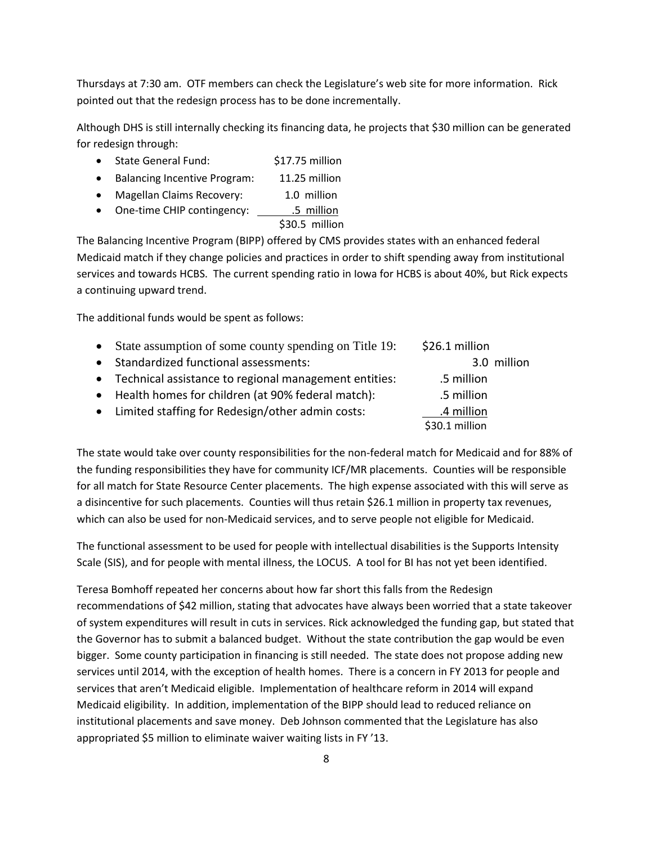Thursdays at 7:30 am. OTF members can check the Legislature's web site for more information. Rick pointed out that the redesign process has to be done incrementally.

Although DHS is still internally checking its financing data, he projects that \$30 million can be generated for redesign through:

- State General Fund: \$17.75 million
- Balancing Incentive Program: 11.25 million
- Magellan Claims Recovery: 1.0 million
- One-time CHIP contingency: \_\_\_\_\_\_\_\_\_5 million

\$30.5 million

The Balancing Incentive Program (BIPP) offered by CMS provides states with an enhanced federal Medicaid match if they change policies and practices in order to shift spending away from institutional services and towards HCBS. The current spending ratio in Iowa for HCBS is about 40%, but Rick expects a continuing upward trend.

The additional funds would be spent as follows:

| $\bullet$ | State assumption of some county spending on Title 19:   | \$26.1 million |  |
|-----------|---------------------------------------------------------|----------------|--|
| $\bullet$ | Standardized functional assessments:                    | 3.0 million    |  |
|           | • Technical assistance to regional management entities: | .5 million     |  |
|           | • Health homes for children (at 90% federal match):     | .5 million     |  |
|           | • Limited staffing for Redesign/other admin costs:      | .4 million     |  |
|           |                                                         | \$30.1 million |  |

The state would take over county responsibilities for the non-federal match for Medicaid and for 88% of the funding responsibilities they have for community ICF/MR placements. Counties will be responsible for all match for State Resource Center placements. The high expense associated with this will serve as a disincentive for such placements. Counties will thus retain \$26.1 million in property tax revenues, which can also be used for non-Medicaid services, and to serve people not eligible for Medicaid.

The functional assessment to be used for people with intellectual disabilities is the Supports Intensity Scale (SIS), and for people with mental illness, the LOCUS. A tool for BI has not yet been identified.

Teresa Bomhoff repeated her concerns about how far short this falls from the Redesign recommendations of \$42 million, stating that advocates have always been worried that a state takeover of system expenditures will result in cuts in services. Rick acknowledged the funding gap, but stated that the Governor has to submit a balanced budget. Without the state contribution the gap would be even bigger. Some county participation in financing is still needed. The state does not propose adding new services until 2014, with the exception of health homes. There is a concern in FY 2013 for people and services that aren't Medicaid eligible. Implementation of healthcare reform in 2014 will expand Medicaid eligibility. In addition, implementation of the BIPP should lead to reduced reliance on institutional placements and save money. Deb Johnson commented that the Legislature has also appropriated \$5 million to eliminate waiver waiting lists in FY '13.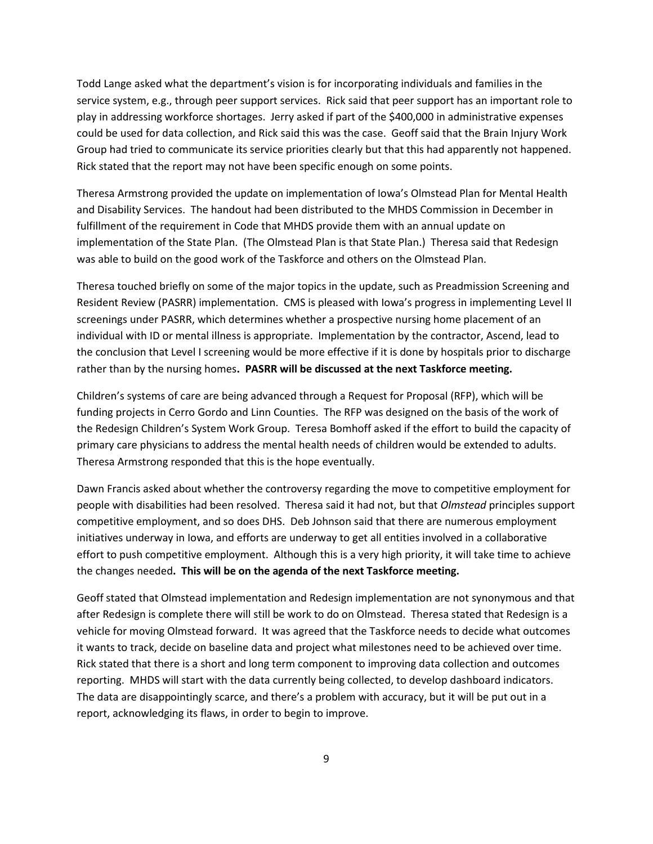Todd Lange asked what the department's vision is for incorporating individuals and families in the service system, e.g., through peer support services. Rick said that peer support has an important role to play in addressing workforce shortages. Jerry asked if part of the \$400,000 in administrative expenses could be used for data collection, and Rick said this was the case. Geoff said that the Brain Injury Work Group had tried to communicate its service priorities clearly but that this had apparently not happened. Rick stated that the report may not have been specific enough on some points.

Theresa Armstrong provided the update on implementation of Iowa's Olmstead Plan for Mental Health and Disability Services. The handout had been distributed to the MHDS Commission in December in fulfillment of the requirement in Code that MHDS provide them with an annual update on implementation of the State Plan. (The Olmstead Plan is that State Plan.) Theresa said that Redesign was able to build on the good work of the Taskforce and others on the Olmstead Plan.

Theresa touched briefly on some of the major topics in the update, such as Preadmission Screening and Resident Review (PASRR) implementation. CMS is pleased with Iowa's progress in implementing Level II screenings under PASRR, which determines whether a prospective nursing home placement of an individual with ID or mental illness is appropriate. Implementation by the contractor, Ascend, lead to the conclusion that Level I screening would be more effective if it is done by hospitals prior to discharge rather than by the nursing homes**. PASRR will be discussed at the next Taskforce meeting.** 

Children's systems of care are being advanced through a Request for Proposal (RFP), which will be funding projects in Cerro Gordo and Linn Counties. The RFP was designed on the basis of the work of the Redesign Children's System Work Group. Teresa Bomhoff asked if the effort to build the capacity of primary care physicians to address the mental health needs of children would be extended to adults. Theresa Armstrong responded that this is the hope eventually.

Dawn Francis asked about whether the controversy regarding the move to competitive employment for people with disabilities had been resolved. Theresa said it had not, but that *Olmstead* principles support competitive employment, and so does DHS. Deb Johnson said that there are numerous employment initiatives underway in Iowa, and efforts are underway to get all entities involved in a collaborative effort to push competitive employment. Although this is a very high priority, it will take time to achieve the changes needed**. This will be on the agenda of the next Taskforce meeting.**

Geoff stated that Olmstead implementation and Redesign implementation are not synonymous and that after Redesign is complete there will still be work to do on Olmstead. Theresa stated that Redesign is a vehicle for moving Olmstead forward. It was agreed that the Taskforce needs to decide what outcomes it wants to track, decide on baseline data and project what milestones need to be achieved over time. Rick stated that there is a short and long term component to improving data collection and outcomes reporting. MHDS will start with the data currently being collected, to develop dashboard indicators. The data are disappointingly scarce, and there's a problem with accuracy, but it will be put out in a report, acknowledging its flaws, in order to begin to improve.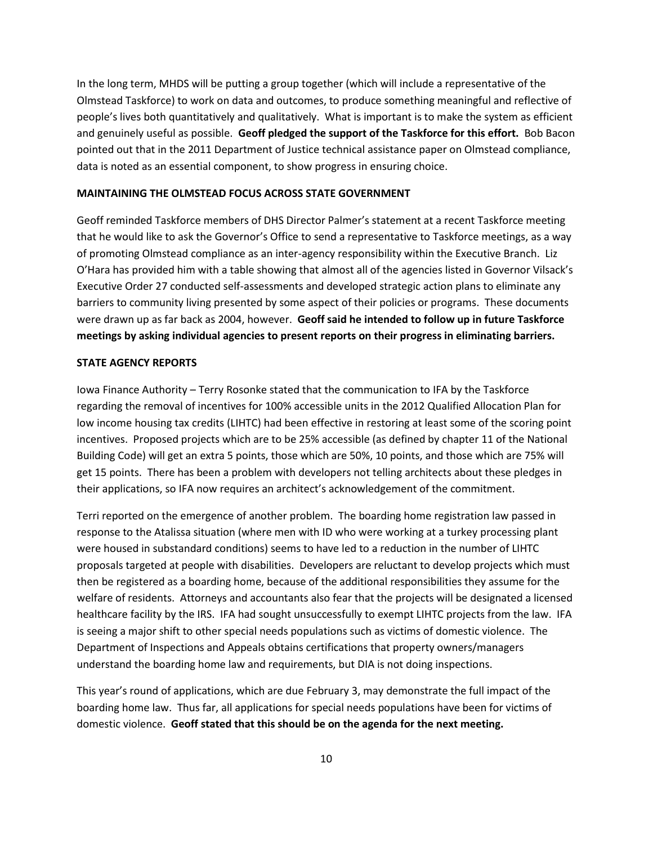In the long term, MHDS will be putting a group together (which will include a representative of the Olmstead Taskforce) to work on data and outcomes, to produce something meaningful and reflective of people's lives both quantitatively and qualitatively. What is important is to make the system as efficient and genuinely useful as possible. **Geoff pledged the support of the Taskforce for this effort.** Bob Bacon pointed out that in the 2011 Department of Justice technical assistance paper on Olmstead compliance, data is noted as an essential component, to show progress in ensuring choice.

#### **MAINTAINING THE OLMSTEAD FOCUS ACROSS STATE GOVERNMENT**

Geoff reminded Taskforce members of DHS Director Palmer's statement at a recent Taskforce meeting that he would like to ask the Governor's Office to send a representative to Taskforce meetings, as a way of promoting Olmstead compliance as an inter-agency responsibility within the Executive Branch. Liz O'Hara has provided him with a table showing that almost all of the agencies listed in Governor Vilsack's Executive Order 27 conducted self-assessments and developed strategic action plans to eliminate any barriers to community living presented by some aspect of their policies or programs. These documents were drawn up as far back as 2004, however. **Geoff said he intended to follow up in future Taskforce meetings by asking individual agencies to present reports on their progress in eliminating barriers.**

#### **STATE AGENCY REPORTS**

Iowa Finance Authority – Terry Rosonke stated that the communication to IFA by the Taskforce regarding the removal of incentives for 100% accessible units in the 2012 Qualified Allocation Plan for low income housing tax credits (LIHTC) had been effective in restoring at least some of the scoring point incentives. Proposed projects which are to be 25% accessible (as defined by chapter 11 of the National Building Code) will get an extra 5 points, those which are 50%, 10 points, and those which are 75% will get 15 points. There has been a problem with developers not telling architects about these pledges in their applications, so IFA now requires an architect's acknowledgement of the commitment.

Terri reported on the emergence of another problem. The boarding home registration law passed in response to the Atalissa situation (where men with ID who were working at a turkey processing plant were housed in substandard conditions) seems to have led to a reduction in the number of LIHTC proposals targeted at people with disabilities. Developers are reluctant to develop projects which must then be registered as a boarding home, because of the additional responsibilities they assume for the welfare of residents. Attorneys and accountants also fear that the projects will be designated a licensed healthcare facility by the IRS. IFA had sought unsuccessfully to exempt LIHTC projects from the law. IFA is seeing a major shift to other special needs populations such as victims of domestic violence. The Department of Inspections and Appeals obtains certifications that property owners/managers understand the boarding home law and requirements, but DIA is not doing inspections.

This year's round of applications, which are due February 3, may demonstrate the full impact of the boarding home law. Thus far, all applications for special needs populations have been for victims of domestic violence. **Geoff stated that this should be on the agenda for the next meeting.**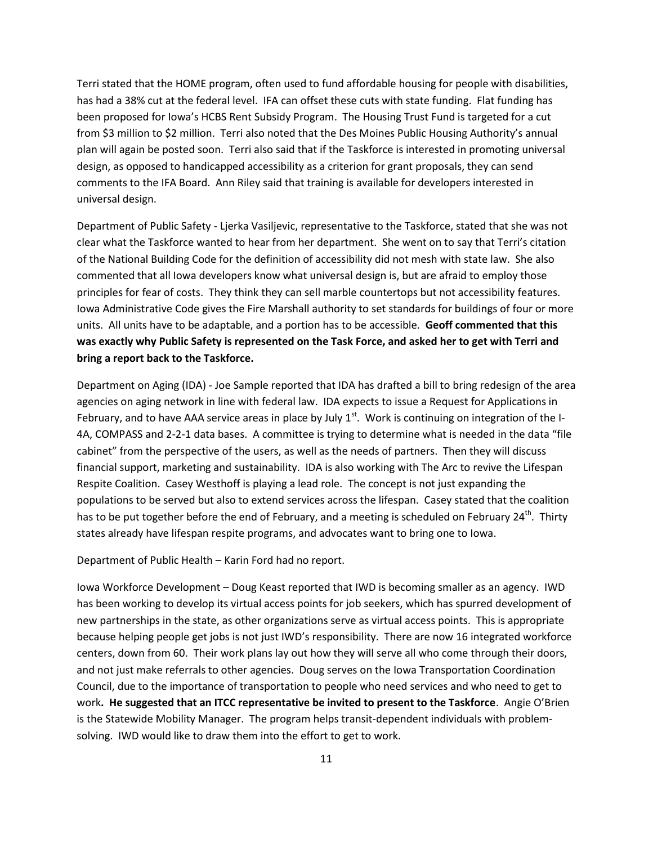Terri stated that the HOME program, often used to fund affordable housing for people with disabilities, has had a 38% cut at the federal level. IFA can offset these cuts with state funding. Flat funding has been proposed for Iowa's HCBS Rent Subsidy Program. The Housing Trust Fund is targeted for a cut from \$3 million to \$2 million. Terri also noted that the Des Moines Public Housing Authority's annual plan will again be posted soon. Terri also said that if the Taskforce is interested in promoting universal design, as opposed to handicapped accessibility as a criterion for grant proposals, they can send comments to the IFA Board. Ann Riley said that training is available for developers interested in universal design.

Department of Public Safety - Ljerka Vasiljevic, representative to the Taskforce, stated that she was not clear what the Taskforce wanted to hear from her department. She went on to say that Terri's citation of the National Building Code for the definition of accessibility did not mesh with state law. She also commented that all Iowa developers know what universal design is, but are afraid to employ those principles for fear of costs. They think they can sell marble countertops but not accessibility features. Iowa Administrative Code gives the Fire Marshall authority to set standards for buildings of four or more units. All units have to be adaptable, and a portion has to be accessible. **Geoff commented that this was exactly why Public Safety is represented on the Task Force, and asked her to get with Terri and bring a report back to the Taskforce.**

Department on Aging (IDA) - Joe Sample reported that IDA has drafted a bill to bring redesign of the area agencies on aging network in line with federal law. IDA expects to issue a Request for Applications in February, and to have AAA service areas in place by July  $1<sup>st</sup>$ . Work is continuing on integration of the I-4A, COMPASS and 2-2-1 data bases. A committee is trying to determine what is needed in the data "file cabinet" from the perspective of the users, as well as the needs of partners. Then they will discuss financial support, marketing and sustainability. IDA is also working with The Arc to revive the Lifespan Respite Coalition. Casey Westhoff is playing a lead role. The concept is not just expanding the populations to be served but also to extend services across the lifespan. Casey stated that the coalition has to be put together before the end of February, and a meeting is scheduled on February 24<sup>th</sup>. Thirty states already have lifespan respite programs, and advocates want to bring one to Iowa.

Department of Public Health – Karin Ford had no report.

Iowa Workforce Development – Doug Keast reported that IWD is becoming smaller as an agency. IWD has been working to develop its virtual access points for job seekers, which has spurred development of new partnerships in the state, as other organizations serve as virtual access points. This is appropriate because helping people get jobs is not just IWD's responsibility. There are now 16 integrated workforce centers, down from 60. Their work plans lay out how they will serve all who come through their doors, and not just make referrals to other agencies. Doug serves on the Iowa Transportation Coordination Council, due to the importance of transportation to people who need services and who need to get to work**. He suggested that an ITCC representative be invited to present to the Taskforce**. Angie O'Brien is the Statewide Mobility Manager. The program helps transit-dependent individuals with problemsolving. IWD would like to draw them into the effort to get to work.